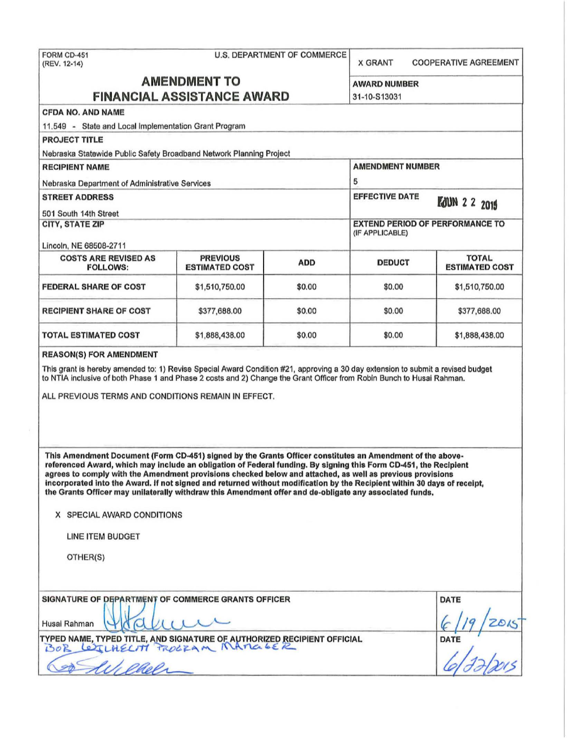| FORM CD-451<br>(REV. 12-14)                                                                                                                                                                                                                                                                                                                                                                                                                                                                                                                                                       |                                          | <b>U.S. DEPARTMENT OF COMMERCE</b>                        | <b>X GRANT</b>        | <b>COOPERATIVE AGREEMENT</b>          |
|-----------------------------------------------------------------------------------------------------------------------------------------------------------------------------------------------------------------------------------------------------------------------------------------------------------------------------------------------------------------------------------------------------------------------------------------------------------------------------------------------------------------------------------------------------------------------------------|------------------------------------------|-----------------------------------------------------------|-----------------------|---------------------------------------|
| <b>AMENDMENT TO</b><br><b>FINANCIAL ASSISTANCE AWARD</b>                                                                                                                                                                                                                                                                                                                                                                                                                                                                                                                          | <b>AWARD NUMBER</b><br>31-10-S13031      |                                                           |                       |                                       |
| <b>CFDA NO. AND NAME</b>                                                                                                                                                                                                                                                                                                                                                                                                                                                                                                                                                          |                                          |                                                           |                       |                                       |
| 11.549 - State and Local Implementation Grant Program                                                                                                                                                                                                                                                                                                                                                                                                                                                                                                                             |                                          |                                                           |                       |                                       |
| <b>PROJECT TITLE</b>                                                                                                                                                                                                                                                                                                                                                                                                                                                                                                                                                              |                                          |                                                           |                       |                                       |
| Nebraska Statewide Public Safety Broadband Network Planning Project                                                                                                                                                                                                                                                                                                                                                                                                                                                                                                               |                                          |                                                           |                       |                                       |
| <b>RECIPIENT NAME</b>                                                                                                                                                                                                                                                                                                                                                                                                                                                                                                                                                             |                                          | <b>AMENDMENT NUMBER</b>                                   |                       |                                       |
| Nebraska Department of Administrative Services                                                                                                                                                                                                                                                                                                                                                                                                                                                                                                                                    |                                          | 5                                                         |                       |                                       |
| <b>STREET ADDRESS</b>                                                                                                                                                                                                                                                                                                                                                                                                                                                                                                                                                             |                                          |                                                           | <b>EFFECTIVE DATE</b> | <b>FOUN 2 2 2015</b>                  |
| 501 South 14th Street                                                                                                                                                                                                                                                                                                                                                                                                                                                                                                                                                             |                                          |                                                           |                       |                                       |
| <b>CITY, STATE ZIP</b><br>Lincoln, NE 68508-2711                                                                                                                                                                                                                                                                                                                                                                                                                                                                                                                                  |                                          | <b>EXTEND PERIOD OF PERFORMANCE TO</b><br>(IF APPLICABLE) |                       |                                       |
| <b>COSTS ARE REVISED AS</b><br><b>FOLLOWS:</b>                                                                                                                                                                                                                                                                                                                                                                                                                                                                                                                                    | <b>PREVIOUS</b><br><b>ESTIMATED COST</b> | <b>ADD</b>                                                | <b>DEDUCT</b>         | <b>TOTAL</b><br><b>ESTIMATED COST</b> |
| <b>FEDERAL SHARE OF COST</b>                                                                                                                                                                                                                                                                                                                                                                                                                                                                                                                                                      | \$1,510,750.00                           | \$0.00                                                    | \$0.00                | \$1,510,750.00                        |
| <b>RECIPIENT SHARE OF COST</b>                                                                                                                                                                                                                                                                                                                                                                                                                                                                                                                                                    | \$377,688.00                             | \$0.00                                                    | \$0.00                | \$377,688.00                          |
| <b>TOTAL ESTIMATED COST</b>                                                                                                                                                                                                                                                                                                                                                                                                                                                                                                                                                       | \$1,888,438.00                           | \$0.00                                                    | \$0.00                | \$1,888,438.00                        |
| <b>REASON(S) FOR AMENDMENT</b>                                                                                                                                                                                                                                                                                                                                                                                                                                                                                                                                                    |                                          |                                                           |                       |                                       |
| This grant is hereby amended to: 1) Revise Special Award Condition #21, approving a 30 day extension to submit a revised budget<br>to NTIA inclusive of both Phase 1 and Phase 2 costs and 2) Change the Grant Officer from Robin Bunch to Husai Rahman.<br>ALL PREVIOUS TERMS AND CONDITIONS REMAIN IN EFFECT.                                                                                                                                                                                                                                                                   |                                          |                                                           |                       |                                       |
| This Amendment Document (Form CD-451) signed by the Grants Officer constitutes an Amendment of the above-<br>referenced Award, which may include an obligation of Federal funding. By signing this Form CD-451, the Recipient<br>agrees to comply with the Amendment provisions checked below and attached, as well as previous provisions<br>incorporated into the Award. If not signed and returned without modification by the Recipient within 30 days of receipt,<br>the Grants Officer may unilaterally withdraw this Amendment offer and de-obligate any associated funds. |                                          |                                                           |                       |                                       |
| X SPECIAL AWARD CONDITIONS                                                                                                                                                                                                                                                                                                                                                                                                                                                                                                                                                        |                                          |                                                           |                       |                                       |
| LINE ITEM BUDGET                                                                                                                                                                                                                                                                                                                                                                                                                                                                                                                                                                  |                                          |                                                           |                       |                                       |
| OTHER(S)                                                                                                                                                                                                                                                                                                                                                                                                                                                                                                                                                                          |                                          |                                                           |                       |                                       |
| SIGNATURE OF DEPARTMENT OF COMMERCE GRANTS OFFICER                                                                                                                                                                                                                                                                                                                                                                                                                                                                                                                                |                                          |                                                           |                       | <b>DATE</b>                           |
| Husai Rahman                                                                                                                                                                                                                                                                                                                                                                                                                                                                                                                                                                      |                                          |                                                           |                       |                                       |
| TYPED NAME, TYPED TITLE, AND SIGNATURE OF AUTHORIZED RECIPIENT OFFICIAL<br>BOR LEICHELM FROGRAM MAMALER                                                                                                                                                                                                                                                                                                                                                                                                                                                                           | DATE                                     |                                                           |                       |                                       |
| aaal                                                                                                                                                                                                                                                                                                                                                                                                                                                                                                                                                                              |                                          |                                                           |                       |                                       |